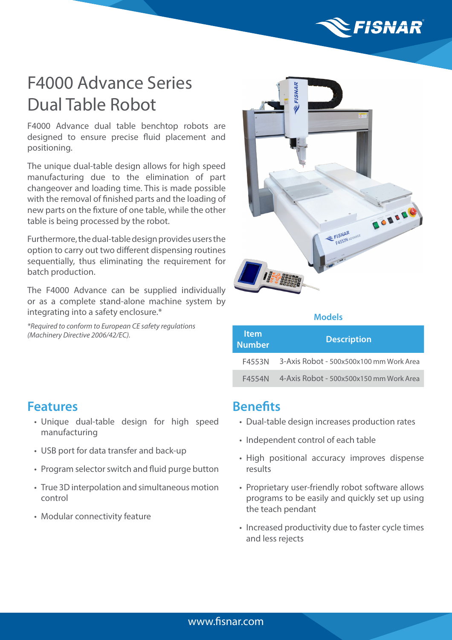

# F4000 Advance Series Dual Table Robot

F4000 Advance dual table benchtop robots are designed to ensure precise fluid placement and positioning.

The unique dual-table design allows for high speed manufacturing due to the elimination of part changeover and loading time. This is made possible with the removal of finished parts and the loading of new parts on the fixture of one table, while the other table is being processed by the robot.

Furthermore, the dual-table design provides users the option to carry out two different dispensing routines sequentially, thus eliminating the requirement for batch production.

The F4000 Advance can be supplied individually or as a complete stand-alone machine system by integrating into a safety enclosure.\*

*\*Required to conform to European CE safety regulations (Machinery Directive 2006/42/EC).*



#### **Models**

| <b>Item</b><br><b>Number</b> | <b>Description</b>                      |
|------------------------------|-----------------------------------------|
| F4553N                       | 3-Axis Robot - 500x500x100 mm Work Area |
| F4554N                       | 4-Axis Robot - 500x500x150 mm Work Area |

#### **Features**

- Unique dual-table design for high speed manufacturing
- USB port for data transfer and back-up
- Program selector switch and fluid purge button
- True 3D interpolation and simultaneous motion control
- Modular connectivity feature

### **Benefits**

- Dual-table design increases production rates
- Independent control of each table
- High positional accuracy improves dispense results
- Proprietary user-friendly robot software allows programs to be easily and quickly set up using the teach pendant
- Increased productivity due to faster cycle times and less rejects